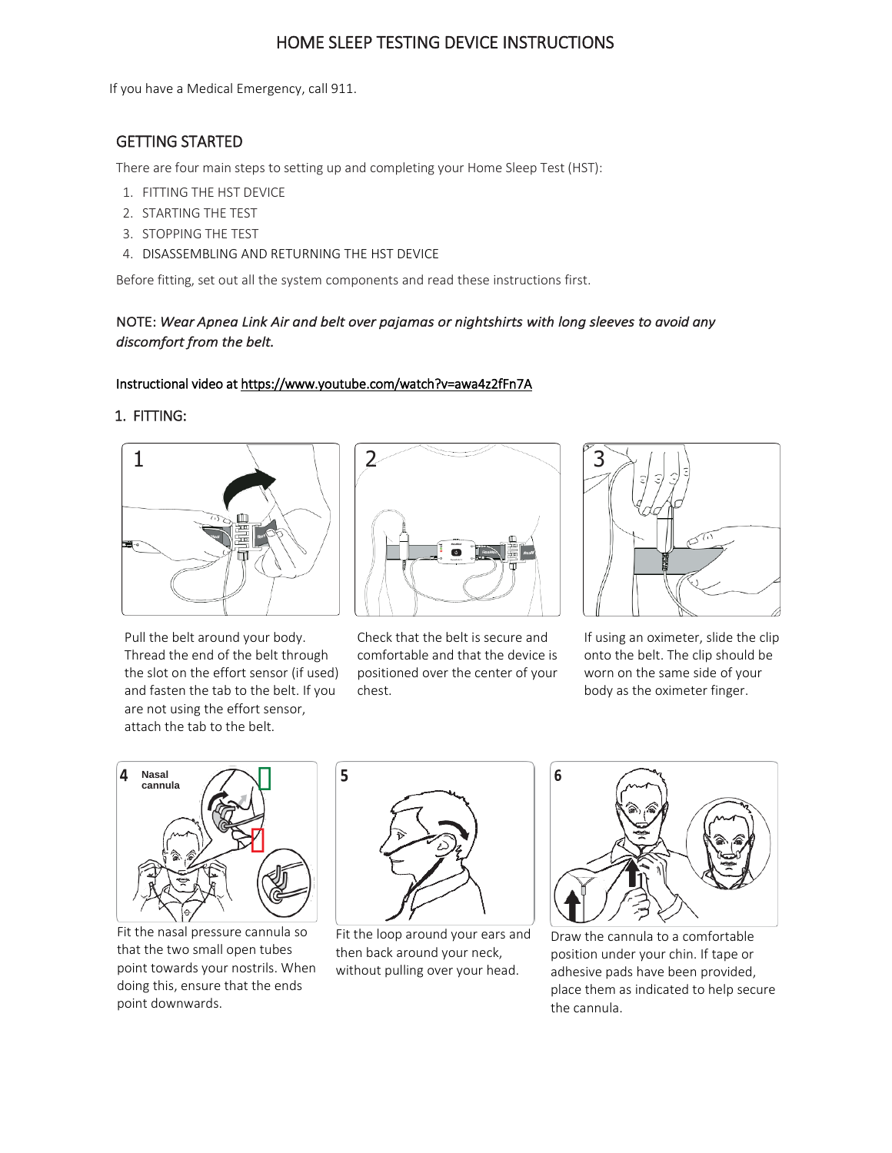# HOME SLEEP TESTING DEVICE INSTRUCTIONS

If you have a Medical Emergency, call 911.

# GETTING STARTED

There are four main steps to setting up and completing your Home Sleep Test (HST):

- 1. FITTING THE HST DEVICE
- 2. STARTING THE TEST
- 3. STOPPING THE TEST
- 4. DISASSEMBLING AND RETURNING THE HST DEVICE

Before fitting, set out all the system components and read these instructions first.

## NOTE: *Wear Apnea Link Air and belt over pajamas or nightshirts with long sleeves to avoid any discomfort from the belt.*

### Instructional video at https://www.youtube.com/watch?v=awa4z2fFn7A

5

### 1. FITTING:



Pull the belt around your body. Thread the end of the belt through the slot on the effort sensor (if used) and fasten the tab to the belt. If you are not using the effort sensor, attach the tab to the belt.



Check that the belt is secure and comfortable and that the device is positioned over the center of your chest.



If using an oximeter, slide the clip onto the belt. The clip should be worn on the same side of your body as the oximeter finger.



Fit the nasal pressure cannula so that the two small open tubes point towards your nostrils. When doing this, ensure that the ends point downwards.



Fit the loop around your ears and then back around your neck, without pulling over your head.



Draw the cannula to a comfortable position under your chin. If tape or adhesive pads have been provided, place them as indicated to help secure the cannula.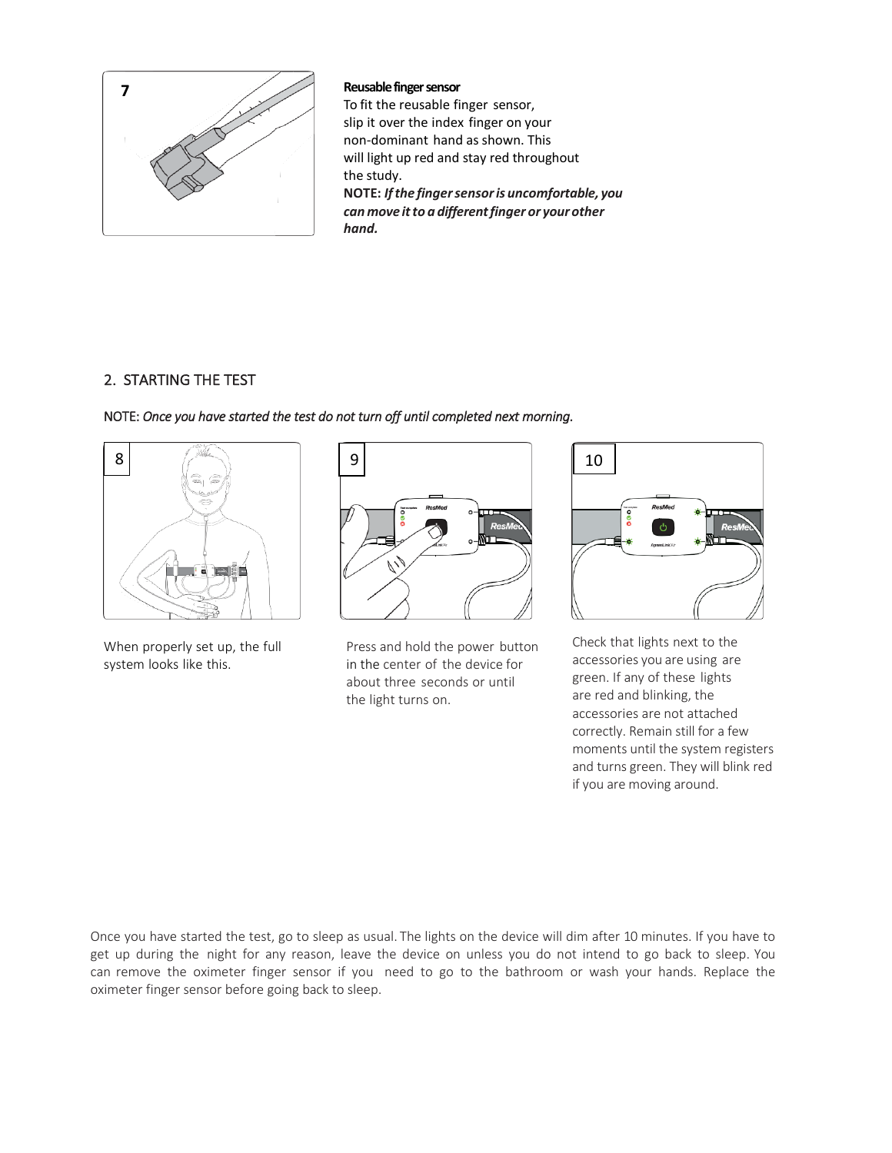

**Reusable finger sensor**

To fit the reusable finger sensor, slip it over the index finger on your non-dominant hand as shown. This will light up red and stay red throughout the study. **NOTE:** *Ifthe fingersensoris uncomfortable, you can move itto a differentfinger or yourother hand.*

### 2. STARTING THE TEST



NOTE: *Once you have started the test do not turn off until completed next morning.* 

When properly set up, the full Press and hold the power button system looks like this. in the center of the device for about three seconds or until the light turns on.



Check that lights next to the accessories you are using are green. If any of these lights are red and blinking, the accessories are not attached correctly. Remain still for a few moments until the system registers and turns green. They will blink red if you are moving around.

Once you have started the test, go to sleep as usual. The lights on the device will dim after 10 minutes. If you have to get up during the night for any reason, leave the device on unless you do not intend to go back to sleep. You can remove the oximeter finger sensor if you need to go to the bathroom or wash your hands. Replace the oximeter finger sensor before going back to sleep.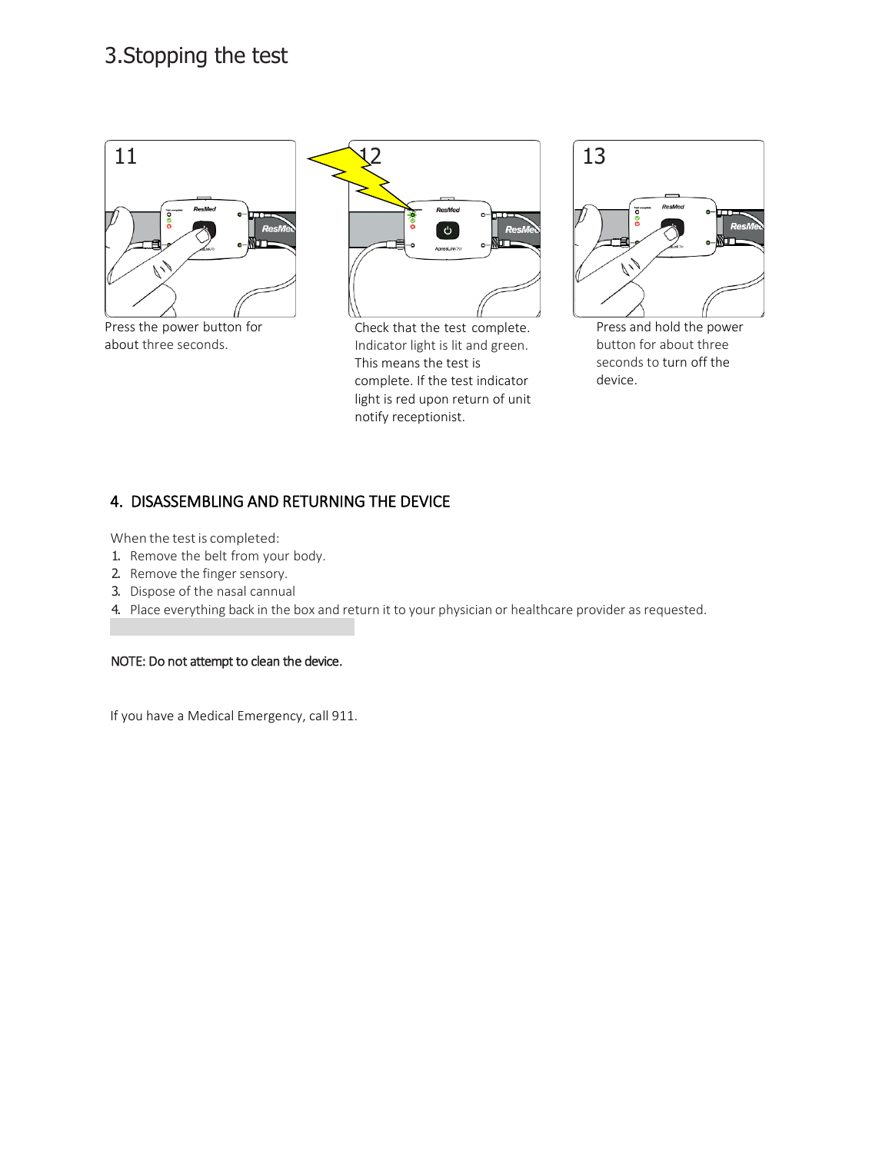# 3.Stopping the test



Press the power button for about three seconds.



Check that the test complete. Indicator light is lit and green. This means the test is complete. If the test indicator light is red upon return of unit notify receptionist.



Press and hold the power button for about three seconds to turn off the device.

# 4. DISASSEMBLING AND RETURNING THE DEVICE

When the test is completed:

- 1. Remove the belt from your body.
- 2. Remove the finger sensory.
- 3. Dispose of the nasal cannual
- 4. Place everything back in the box and return it to your physician or healthcare provider as requested.

NOTE: Do not attempt to clean the device.

If you have a Medical Emergency, call 911.